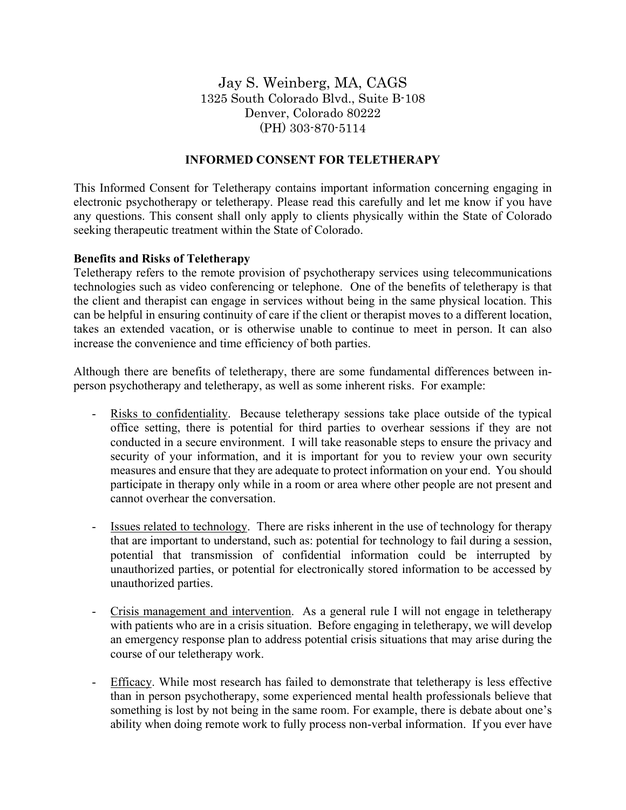Jay S. Weinberg, MA, CAGS 1325 South Colorado Blvd., Suite B-108 Denver, Colorado 80222 (PH) 303-870-5114

# **INFORMED CONSENT FOR TELETHERAPY**

This Informed Consent for Teletherapy contains important information concerning engaging in electronic psychotherapy or teletherapy. Please read this carefully and let me know if you have any questions. This consent shall only apply to clients physically within the State of Colorado seeking therapeutic treatment within the State of Colorado.

### **Benefits and Risks of Teletherapy**

Teletherapy refers to the remote provision of psychotherapy services using telecommunications technologies such as video conferencing or telephone. One of the benefits of teletherapy is that the client and therapist can engage in services without being in the same physical location. This can be helpful in ensuring continuity of care if the client or therapist moves to a different location, takes an extended vacation, or is otherwise unable to continue to meet in person. It can also increase the convenience and time efficiency of both parties.

Although there are benefits of teletherapy, there are some fundamental differences between inperson psychotherapy and teletherapy, as well as some inherent risks. For example:

- Risks to confidentiality. Because teletherapy sessions take place outside of the typical office setting, there is potential for third parties to overhear sessions if they are not conducted in a secure environment. I will take reasonable steps to ensure the privacy and security of your information, and it is important for you to review your own security measures and ensure that they are adequate to protect information on your end. You should participate in therapy only while in a room or area where other people are not present and cannot overhear the conversation.
- Issues related to technology. There are risks inherent in the use of technology for therapy that are important to understand, such as: potential for technology to fail during a session, potential that transmission of confidential information could be interrupted by unauthorized parties, or potential for electronically stored information to be accessed by unauthorized parties.
- Crisis management and intervention. As a general rule I will not engage in teletherapy with patients who are in a crisis situation. Before engaging in teletherapy, we will develop an emergency response plan to address potential crisis situations that may arise during the course of our teletherapy work.
- Efficacy. While most research has failed to demonstrate that teletherapy is less effective than in person psychotherapy, some experienced mental health professionals believe that something is lost by not being in the same room. For example, there is debate about one's ability when doing remote work to fully process non-verbal information. If you ever have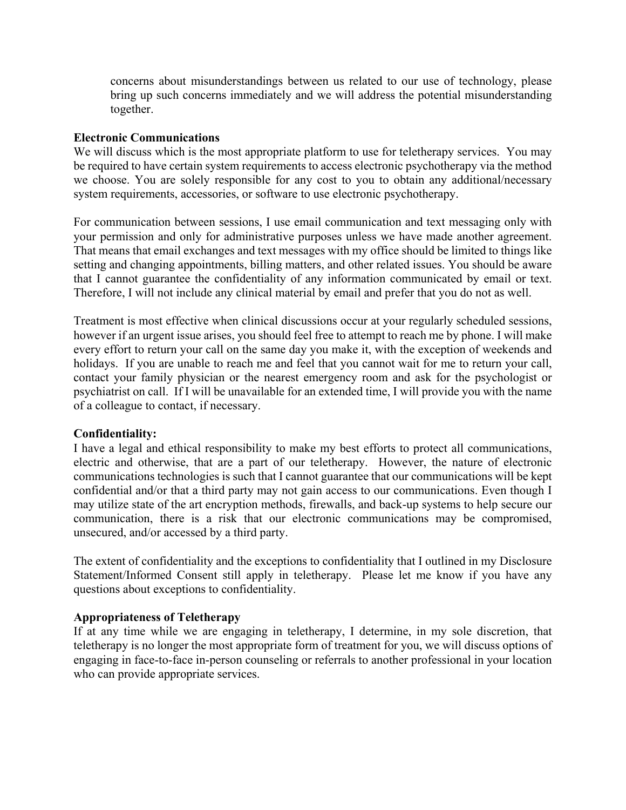concerns about misunderstandings between us related to our use of technology, please bring up such concerns immediately and we will address the potential misunderstanding together.

#### **Electronic Communications**

We will discuss which is the most appropriate platform to use for teletherapy services. You may be required to have certain system requirements to access electronic psychotherapy via the method we choose. You are solely responsible for any cost to you to obtain any additional/necessary system requirements, accessories, or software to use electronic psychotherapy.

For communication between sessions, I use email communication and text messaging only with your permission and only for administrative purposes unless we have made another agreement. That means that email exchanges and text messages with my office should be limited to things like setting and changing appointments, billing matters, and other related issues. You should be aware that I cannot guarantee the confidentiality of any information communicated by email or text. Therefore, I will not include any clinical material by email and prefer that you do not as well.

Treatment is most effective when clinical discussions occur at your regularly scheduled sessions, however if an urgent issue arises, you should feel free to attempt to reach me by phone. I will make every effort to return your call on the same day you make it, with the exception of weekends and holidays. If you are unable to reach me and feel that you cannot wait for me to return your call, contact your family physician or the nearest emergency room and ask for the psychologist or psychiatrist on call. If I will be unavailable for an extended time, I will provide you with the name of a colleague to contact, if necessary.

### **Confidentiality:**

I have a legal and ethical responsibility to make my best efforts to protect all communications, electric and otherwise, that are a part of our teletherapy. However, the nature of electronic communications technologies is such that I cannot guarantee that our communications will be kept confidential and/or that a third party may not gain access to our communications. Even though I may utilize state of the art encryption methods, firewalls, and back-up systems to help secure our communication, there is a risk that our electronic communications may be compromised, unsecured, and/or accessed by a third party.

The extent of confidentiality and the exceptions to confidentiality that I outlined in my Disclosure Statement/Informed Consent still apply in teletherapy. Please let me know if you have any questions about exceptions to confidentiality.

### **Appropriateness of Teletherapy**

If at any time while we are engaging in teletherapy, I determine, in my sole discretion, that teletherapy is no longer the most appropriate form of treatment for you, we will discuss options of engaging in face-to-face in-person counseling or referrals to another professional in your location who can provide appropriate services.